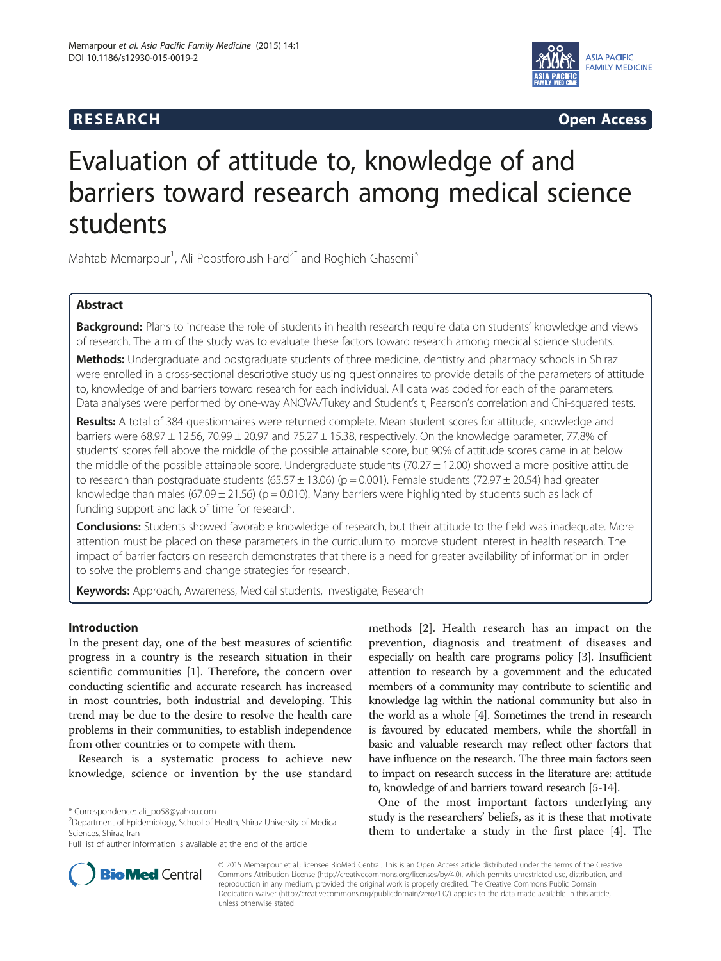# **RESEARCH CHINESEARCH CHINESEARCH CHINESE**



# Evaluation of attitude to, knowledge of and barriers toward research among medical science students

Mahtab Memarpour<sup>1</sup>, Ali Poostforoush Fard<sup>2\*</sup> and Roghieh Ghasemi<sup>3</sup>

# Abstract

Background: Plans to increase the role of students in health research require data on students' knowledge and views of research. The aim of the study was to evaluate these factors toward research among medical science students.

Methods: Undergraduate and postgraduate students of three medicine, dentistry and pharmacy schools in Shiraz were enrolled in a cross-sectional descriptive study using questionnaires to provide details of the parameters of attitude to, knowledge of and barriers toward research for each individual. All data was coded for each of the parameters. Data analyses were performed by one-way ANOVA/Tukey and Student's t, Pearson's correlation and Chi-squared tests.

Results: A total of 384 questionnaires were returned complete. Mean student scores for attitude, knowledge and barriers were 68.97  $\pm$  12.56, 70.99  $\pm$  20.97 and 75.27  $\pm$  15.38, respectively. On the knowledge parameter, 77.8% of students' scores fell above the middle of the possible attainable score, but 90% of attitude scores came in at below the middle of the possible attainable score. Undergraduate students ( $70.27 \pm 12.00$ ) showed a more positive attitude to research than postgraduate students (65.57  $\pm$  13.06) (p = 0.001). Female students (72.97  $\pm$  20.54) had greater knowledge than males (67.09  $\pm$  21.56) (p = 0.010). Many barriers were highlighted by students such as lack of funding support and lack of time for research.

Conclusions: Students showed favorable knowledge of research, but their attitude to the field was inadequate. More attention must be placed on these parameters in the curriculum to improve student interest in health research. The impact of barrier factors on research demonstrates that there is a need for greater availability of information in order to solve the problems and change strategies for research.

Keywords: Approach, Awareness, Medical students, Investigate, Research

# Introduction

In the present day, one of the best measures of scientific progress in a country is the research situation in their scientific communities [\[1](#page-5-0)]. Therefore, the concern over conducting scientific and accurate research has increased in most countries, both industrial and developing. This trend may be due to the desire to resolve the health care problems in their communities, to establish independence from other countries or to compete with them.

Research is a systematic process to achieve new knowledge, science or invention by the use standard

methods [\[2\]](#page-5-0). Health research has an impact on the prevention, diagnosis and treatment of diseases and especially on health care programs policy [[3](#page-5-0)]. Insufficient attention to research by a government and the educated members of a community may contribute to scientific and knowledge lag within the national community but also in the world as a whole [\[4\]](#page-5-0). Sometimes the trend in research is favoured by educated members, while the shortfall in basic and valuable research may reflect other factors that have influence on the research. The three main factors seen to impact on research success in the literature are: attitude to, knowledge of and barriers toward research [[5](#page-5-0)-[14](#page-5-0)].

One of the most important factors underlying any study is the researchers' beliefs, as it is these that motivate them to undertake a study in the first place [\[4](#page-5-0)]. The



© 2015 Memarpour et al.; licensee BioMed Central. This is an Open Access article distributed under the terms of the Creative Commons Attribution License [\(http://creativecommons.org/licenses/by/4.0\)](http://creativecommons.org/licenses/by/4.0), which permits unrestricted use, distribution, and reproduction in any medium, provided the original work is properly credited. The Creative Commons Public Domain Dedication waiver [\(http://creativecommons.org/publicdomain/zero/1.0/](http://creativecommons.org/publicdomain/zero/1.0/)) applies to the data made available in this article, unless otherwise stated.

<sup>\*</sup> Correspondence: [ali\\_po58@yahoo.com](mailto:ali_po58@yahoo.com) <sup>2</sup>

<sup>&</sup>lt;sup>2</sup>Department of Epidemiology, School of Health, Shiraz University of Medical Sciences, Shiraz, Iran

Full list of author information is available at the end of the article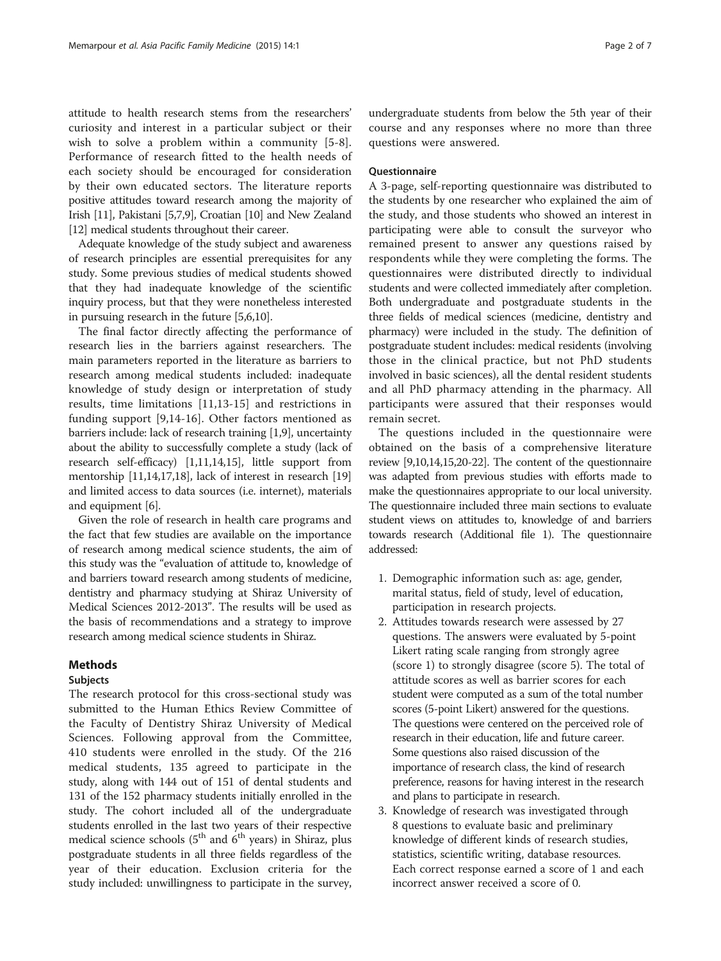attitude to health research stems from the researchers' curiosity and interest in a particular subject or their wish to solve a problem within a community [\[5](#page-5-0)-[8](#page-5-0)]. Performance of research fitted to the health needs of each society should be encouraged for consideration by their own educated sectors. The literature reports positive attitudes toward research among the majority of Irish [\[11\]](#page-5-0), Pakistani [\[5,7,9](#page-5-0)], Croatian [\[10\]](#page-5-0) and New Zealand [[12](#page-5-0)] medical students throughout their career.

Adequate knowledge of the study subject and awareness of research principles are essential prerequisites for any study. Some previous studies of medical students showed that they had inadequate knowledge of the scientific inquiry process, but that they were nonetheless interested in pursuing research in the future [[5](#page-5-0),[6,10](#page-5-0)].

The final factor directly affecting the performance of research lies in the barriers against researchers. The main parameters reported in the literature as barriers to research among medical students included: inadequate knowledge of study design or interpretation of study results, time limitations [[11,13](#page-5-0)-[15\]](#page-5-0) and restrictions in funding support [\[9](#page-5-0),[14-16](#page-5-0)]. Other factors mentioned as barriers include: lack of research training [[1,9](#page-5-0)], uncertainty about the ability to successfully complete a study (lack of research self-efficacy) [\[1,11,14,15](#page-5-0)], little support from mentorship [\[11,14,](#page-5-0)[17,18\]](#page-6-0), lack of interest in research [[19](#page-6-0)] and limited access to data sources (i.e. internet), materials and equipment [[6\]](#page-5-0).

Given the role of research in health care programs and the fact that few studies are available on the importance of research among medical science students, the aim of this study was the "evaluation of attitude to, knowledge of and barriers toward research among students of medicine, dentistry and pharmacy studying at Shiraz University of Medical Sciences 2012-2013". The results will be used as the basis of recommendations and a strategy to improve research among medical science students in Shiraz.

### Methods

#### Subjects

The research protocol for this cross-sectional study was submitted to the Human Ethics Review Committee of the Faculty of Dentistry Shiraz University of Medical Sciences. Following approval from the Committee, 410 students were enrolled in the study. Of the 216 medical students, 135 agreed to participate in the study, along with 144 out of 151 of dental students and 131 of the 152 pharmacy students initially enrolled in the study. The cohort included all of the undergraduate students enrolled in the last two years of their respective medical science schools ( $5<sup>th</sup>$  and  $6<sup>th</sup>$  years) in Shiraz, plus postgraduate students in all three fields regardless of the year of their education. Exclusion criteria for the study included: unwillingness to participate in the survey,

undergraduate students from below the 5th year of their course and any responses where no more than three questions were answered.

#### Questionnaire

A 3-page, self-reporting questionnaire was distributed to the students by one researcher who explained the aim of the study, and those students who showed an interest in participating were able to consult the surveyor who remained present to answer any questions raised by respondents while they were completing the forms. The questionnaires were distributed directly to individual students and were collected immediately after completion. Both undergraduate and postgraduate students in the three fields of medical sciences (medicine, dentistry and pharmacy) were included in the study. The definition of postgraduate student includes: medical residents (involving those in the clinical practice, but not PhD students involved in basic sciences), all the dental resident students and all PhD pharmacy attending in the pharmacy. All participants were assured that their responses would remain secret.

The questions included in the questionnaire were obtained on the basis of a comprehensive literature review [\[9,10,14,15](#page-5-0)[,20-22](#page-6-0)]. The content of the questionnaire was adapted from previous studies with efforts made to make the questionnaires appropriate to our local university. The questionnaire included three main sections to evaluate student views on attitudes to, knowledge of and barriers towards research (Additional file [1\)](#page-5-0). The questionnaire addressed:

- 1. Demographic information such as: age, gender, marital status, field of study, level of education, participation in research projects.
- 2. Attitudes towards research were assessed by 27 questions. The answers were evaluated by 5-point Likert rating scale ranging from strongly agree (score 1) to strongly disagree (score 5). The total of attitude scores as well as barrier scores for each student were computed as a sum of the total number scores (5-point Likert) answered for the questions. The questions were centered on the perceived role of research in their education, life and future career. Some questions also raised discussion of the importance of research class, the kind of research preference, reasons for having interest in the research and plans to participate in research.
- 3. Knowledge of research was investigated through 8 questions to evaluate basic and preliminary knowledge of different kinds of research studies, statistics, scientific writing, database resources. Each correct response earned a score of 1 and each incorrect answer received a score of 0.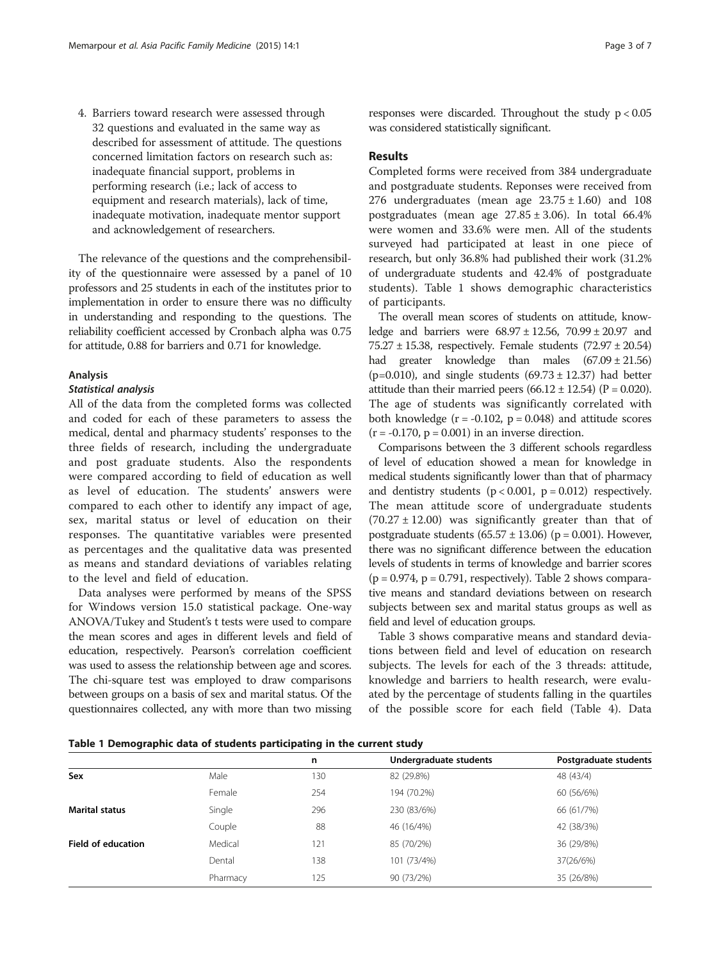4. Barriers toward research were assessed through 32 questions and evaluated in the same way as described for assessment of attitude. The questions concerned limitation factors on research such as: inadequate financial support, problems in performing research (i.e.; lack of access to equipment and research materials), lack of time, inadequate motivation, inadequate mentor support and acknowledgement of researchers.

The relevance of the questions and the comprehensibility of the questionnaire were assessed by a panel of 10 professors and 25 students in each of the institutes prior to implementation in order to ensure there was no difficulty in understanding and responding to the questions. The reliability coefficient accessed by Cronbach alpha was 0.75 for attitude, 0.88 for barriers and 0.71 for knowledge.

#### Analysis

#### Statistical analysis

All of the data from the completed forms was collected and coded for each of these parameters to assess the medical, dental and pharmacy students' responses to the three fields of research, including the undergraduate and post graduate students. Also the respondents were compared according to field of education as well as level of education. The students' answers were compared to each other to identify any impact of age, sex, marital status or level of education on their responses. The quantitative variables were presented as percentages and the qualitative data was presented as means and standard deviations of variables relating to the level and field of education.

Data analyses were performed by means of the SPSS for Windows version 15.0 statistical package. One-way ANOVA/Tukey and Student's t tests were used to compare the mean scores and ages in different levels and field of education, respectively. Pearson's correlation coefficient was used to assess the relationship between age and scores. The chi-square test was employed to draw comparisons between groups on a basis of sex and marital status. Of the questionnaires collected, any with more than two missing

responses were discarded. Throughout the study  $p < 0.05$ was considered statistically significant.

#### Results

Completed forms were received from 384 undergraduate and postgraduate students. Reponses were received from 276 undergraduates (mean age  $23.75 \pm 1.60$ ) and 108 postgraduates (mean age  $27.85 \pm 3.06$ ). In total 66.4% were women and 33.6% were men. All of the students surveyed had participated at least in one piece of research, but only 36.8% had published their work (31.2% of undergraduate students and 42.4% of postgraduate students). Table 1 shows demographic characteristics of participants.

The overall mean scores of students on attitude, knowledge and barriers were 68.97 ± 12.56, 70.99 ± 20.97 and 75.27 ± 15.38, respectively. Female students (72.97 ± 20.54) had greater knowledge than males (67.09 ± 21.56) (p=0.010), and single students  $(69.73 \pm 12.37)$  had better attitude than their married peers  $(66.12 \pm 12.54)$  (P = 0.020). The age of students was significantly correlated with both knowledge  $(r = -0.102, p = 0.048)$  and attitude scores  $(r = -0.170, p = 0.001)$  in an inverse direction.

Comparisons between the 3 different schools regardless of level of education showed a mean for knowledge in medical students significantly lower than that of pharmacy and dentistry students  $(p < 0.001, p = 0.012)$  respectively. The mean attitude score of undergraduate students  $(70.27 \pm 12.00)$  was significantly greater than that of postgraduate students  $(65.57 \pm 13.06)$  (p = 0.001). However, there was no significant difference between the education levels of students in terms of knowledge and barrier scores  $(p = 0.974, p = 0.791, respectively)$ . Table [2](#page-3-0) shows comparative means and standard deviations between on research subjects between sex and marital status groups as well as field and level of education groups.

Table [3](#page-3-0) shows comparative means and standard deviations between field and level of education on research subjects. The levels for each of the 3 threads: attitude, knowledge and barriers to health research, were evaluated by the percentage of students falling in the quartiles of the possible score for each field (Table [4\)](#page-4-0). Data

Table 1 Demographic data of students participating in the current study

|                           |          | n   | Undergraduate students | Postgraduate students |
|---------------------------|----------|-----|------------------------|-----------------------|
| Sex                       | Male     | 130 | 82 (29.8%)             | 48 (43/4)             |
|                           | Female   | 254 | 194 (70.2%)            | 60 (56/6%)            |
| <b>Marital status</b>     | Single   | 296 | 230 (83/6%)            | 66 (61/7%)            |
|                           | Couple   | 88  | 46 (16/4%)             | 42 (38/3%)            |
| <b>Field of education</b> | Medical  | 121 | 85 (70/2%)             | 36 (29/8%)            |
|                           | Dental   | 138 | 101 (73/4%)            | 37(26/6%)             |
|                           | Pharmacy | 125 | 90 (73/2%)             | 35 (26/8%)            |
|                           |          |     |                        |                       |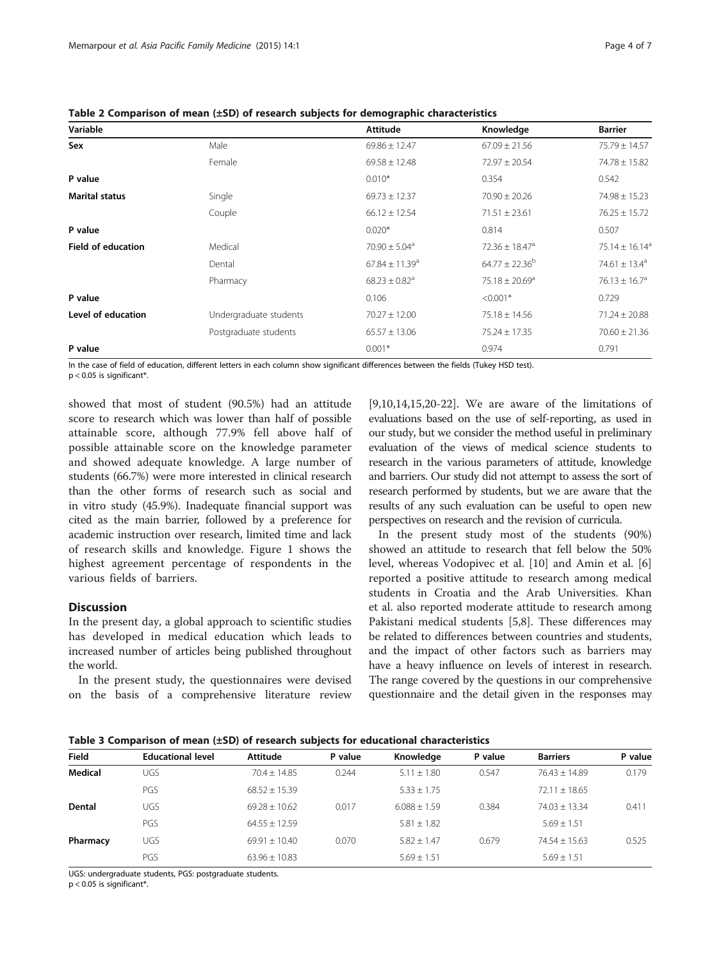<span id="page-3-0"></span>

|  |  |  | Table 2 Comparison of mean (±SD) of research subjects for demographic characteristics |
|--|--|--|---------------------------------------------------------------------------------------|
|--|--|--|---------------------------------------------------------------------------------------|

| Variable                  |                        | Attitude                       | Knowledge                      | <b>Barrier</b>                 |
|---------------------------|------------------------|--------------------------------|--------------------------------|--------------------------------|
| Sex                       | Male                   | $69.86 \pm 12.47$              | $67.09 \pm 21.56$              | $75.79 \pm 14.57$              |
|                           | Female                 | $69.58 \pm 12.48$              | $72.97 \pm 20.54$              | $74.78 \pm 15.82$              |
| P value                   |                        | $0.010*$                       | 0.354                          | 0.542                          |
| <b>Marital status</b>     | Single                 | $69.73 \pm 12.37$              | $70.90 \pm 20.26$              | $74.98 \pm 15.23$              |
|                           | Couple                 | $66.12 \pm 12.54$              | $71.51 \pm 23.61$              | $76.25 \pm 15.72$              |
| P value                   |                        | $0.020*$                       | 0.814                          | 0.507                          |
| <b>Field of education</b> | Medical                | $70.90 \pm 5.04$ <sup>a</sup>  | $72.36 \pm 18.47^a$            | 75.14 $\pm$ 16.14 <sup>a</sup> |
|                           | Dental                 | $67.84 \pm 11.39$ <sup>a</sup> | $64.77 \pm 22.36^b$            | 74.61 $\pm$ 13.4 <sup>a</sup>  |
|                           | Pharmacy               | $68.23 \pm 0.82$ <sup>a</sup>  | $75.18 \pm 20.69$ <sup>a</sup> | $76.13 \pm 16.7$ <sup>a</sup>  |
| P value                   |                        | 0.106                          | $< 0.001*$                     | 0.729                          |
| Level of education        | Undergraduate students | $70.27 \pm 12.00$              | $75.18 \pm 14.56$              | $71.24 \pm 20.88$              |
|                           | Postgraduate students  | $65.57 \pm 13.06$              | $75.24 \pm 17.35$              | $70.60 \pm 21.36$              |
| P value                   |                        | $0.001*$                       | 0.974                          | 0.791                          |

In the case of field of education, different letters in each column show significant differences between the fields (Tukey HSD test).  $p < 0.05$  is significant\*.

showed that most of student (90.5%) had an attitude score to research which was lower than half of possible attainable score, although 77.9% fell above half of possible attainable score on the knowledge parameter and showed adequate knowledge. A large number of students (66.7%) were more interested in clinical research than the other forms of research such as social and in vitro study (45.9%). Inadequate financial support was cited as the main barrier, followed by a preference for academic instruction over research, limited time and lack of research skills and knowledge. Figure [1](#page-4-0) shows the highest agreement percentage of respondents in the various fields of barriers.

### **Discussion**

In the present day, a global approach to scientific studies has developed in medical education which leads to increased number of articles being published throughout the world.

In the present study, the questionnaires were devised on the basis of a comprehensive literature review [[9,10,14,15,](#page-5-0)[20-22](#page-6-0)]. We are aware of the limitations of evaluations based on the use of self-reporting, as used in our study, but we consider the method useful in preliminary evaluation of the views of medical science students to research in the various parameters of attitude, knowledge and barriers. Our study did not attempt to assess the sort of research performed by students, but we are aware that the results of any such evaluation can be useful to open new perspectives on research and the revision of curricula.

In the present study most of the students (90%) showed an attitude to research that fell below the 50% level, whereas Vodopivec et al. [\[10](#page-5-0)] and Amin et al. [\[6](#page-5-0)] reported a positive attitude to research among medical students in Croatia and the Arab Universities. Khan et al. also reported moderate attitude to research among Pakistani medical students [\[5,8](#page-5-0)]. These differences may be related to differences between countries and students, and the impact of other factors such as barriers may have a heavy influence on levels of interest in research. The range covered by the questions in our comprehensive questionnaire and the detail given in the responses may

Table 3 Comparison of mean (±SD) of research subjects for educational characteristics

| <b>Field</b> | <b>Educational level</b> | Attitude          | P value | Knowledge        | P value | <b>Barriers</b>   | P value |
|--------------|--------------------------|-------------------|---------|------------------|---------|-------------------|---------|
| Medical      | <b>UGS</b>               | $70.4 + 14.85$    | 0.244   | $5.11 \pm 1.80$  | 0.547   | $76.43 + 14.89$   | 0.179   |
|              | PGS                      | $68.52 + 15.39$   |         | $5.33 \pm 1.75$  |         | $72.11 \pm 18.65$ |         |
| Dental       | UGS                      | $69.28 + 10.62$   | 0.017   | $6.088 \pm 1.59$ | 0.384   | $74.03 \pm 13.34$ | 0.411   |
|              | PGS                      | $64.55 + 12.59$   |         | $5.81 \pm 1.82$  |         | $5.69 \pm 1.51$   |         |
| Pharmacy     | UGS                      | $69.91 \pm 10.40$ | 0.070   | $5.82 \pm 1.47$  | 0.679   | $74.54 + 15.63$   | 0.525   |
|              | PGS                      | $63.96 \pm 10.83$ |         | $5.69 + 1.51$    |         | $5.69 + 1.51$     |         |

UGS: undergraduate students, PGS: postgraduate students.

p < 0.05 is significant\*.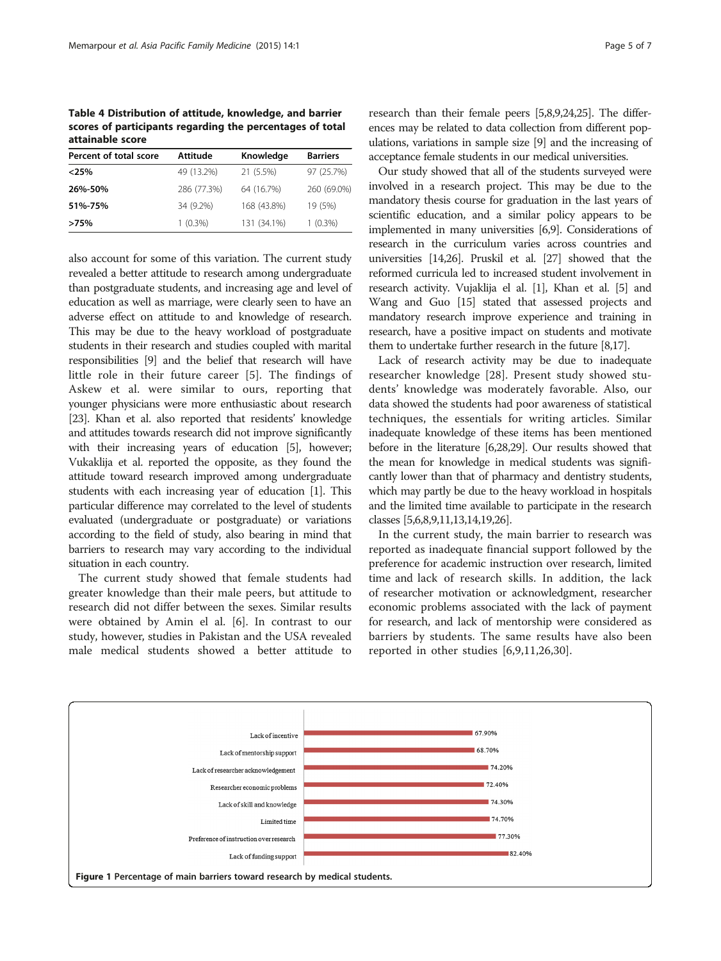<span id="page-4-0"></span>Table 4 Distribution of attitude, knowledge, and barrier scores of participants regarding the percentages of total attainable score

| Percent of total score | <b>Attitude</b> | Knowledge   | <b>Barriers</b> |
|------------------------|-----------------|-------------|-----------------|
| $<$ 25%                | 49 (13.2%)      | 21 (5.5%)   | 97 (25.7%)      |
| 26%-50%                | 286 (77.3%)     | 64 (16.7%)  | 260 (69.0%)     |
| 51%-75%                | 34 (9.2%)       | 168 (43.8%) | 19 (5%)         |
| >75%                   | $1(0.3\%)$      | 131 (34.1%) | $1(0.3\%)$      |

also account for some of this variation. The current study revealed a better attitude to research among undergraduate than postgraduate students, and increasing age and level of education as well as marriage, were clearly seen to have an adverse effect on attitude to and knowledge of research. This may be due to the heavy workload of postgraduate students in their research and studies coupled with marital responsibilities [\[9\]](#page-5-0) and the belief that research will have little role in their future career [[5](#page-5-0)]. The findings of Askew et al. were similar to ours, reporting that younger physicians were more enthusiastic about research [[23](#page-6-0)]. Khan et al. also reported that residents' knowledge and attitudes towards research did not improve significantly with their increasing years of education [\[5\]](#page-5-0), however; Vukaklija et al. reported the opposite, as they found the attitude toward research improved among undergraduate students with each increasing year of education [\[1\]](#page-5-0). This particular difference may correlated to the level of students evaluated (undergraduate or postgraduate) or variations according to the field of study, also bearing in mind that barriers to research may vary according to the individual situation in each country.

The current study showed that female students had greater knowledge than their male peers, but attitude to research did not differ between the sexes. Similar results were obtained by Amin el al. [[6\]](#page-5-0). In contrast to our study, however, studies in Pakistan and the USA revealed male medical students showed a better attitude to research than their female peers [\[5,8,9](#page-5-0)[,24,25\]](#page-6-0). The differences may be related to data collection from different populations, variations in sample size [[9\]](#page-5-0) and the increasing of acceptance female students in our medical universities.

Our study showed that all of the students surveyed were involved in a research project. This may be due to the mandatory thesis course for graduation in the last years of scientific education, and a similar policy appears to be implemented in many universities [\[6,9](#page-5-0)]. Considerations of research in the curriculum varies across countries and universities [\[14,](#page-5-0)[26](#page-6-0)]. Pruskil et al. [[27](#page-6-0)] showed that the reformed curricula led to increased student involvement in research activity. Vujaklija el al. [\[1\]](#page-5-0), Khan et al. [\[5](#page-5-0)] and Wang and Guo [[15](#page-5-0)] stated that assessed projects and mandatory research improve experience and training in research, have a positive impact on students and motivate them to undertake further research in the future [\[8](#page-5-0)[,17\]](#page-6-0).

Lack of research activity may be due to inadequate researcher knowledge [\[28](#page-6-0)]. Present study showed students' knowledge was moderately favorable. Also, our data showed the students had poor awareness of statistical techniques, the essentials for writing articles. Similar inadequate knowledge of these items has been mentioned before in the literature [\[6](#page-5-0)[,28,29](#page-6-0)]. Our results showed that the mean for knowledge in medical students was significantly lower than that of pharmacy and dentistry students, which may partly be due to the heavy workload in hospitals and the limited time available to participate in the research classes [\[5,6,8,9,11,13,14](#page-5-0)[,19,26\]](#page-6-0).

In the current study, the main barrier to research was reported as inadequate financial support followed by the preference for academic instruction over research, limited time and lack of research skills. In addition, the lack of researcher motivation or acknowledgment, researcher economic problems associated with the lack of payment for research, and lack of mentorship were considered as barriers by students. The same results have also been reported in other studies [\[6](#page-5-0),[9,11,](#page-5-0)[26,30](#page-6-0)].

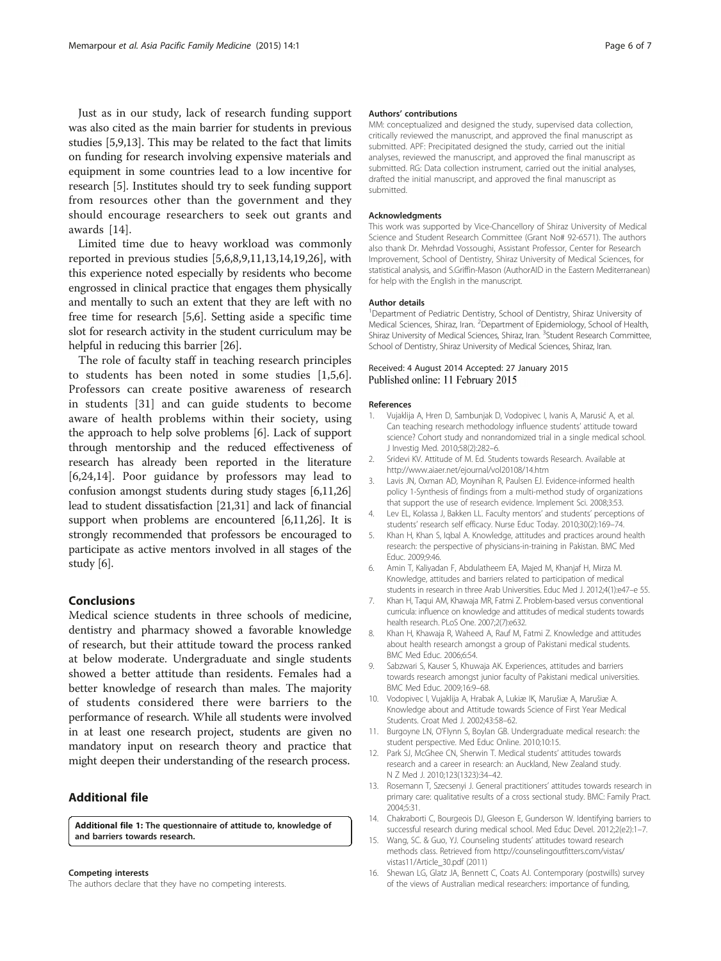<span id="page-5-0"></span>Just as in our study, lack of research funding support was also cited as the main barrier for students in previous studies [5,9,13]. This may be related to the fact that limits on funding for research involving expensive materials and equipment in some countries lead to a low incentive for research [5]. Institutes should try to seek funding support from resources other than the government and they should encourage researchers to seek out grants and awards [14].

Limited time due to heavy workload was commonly reported in previous studies [5,6,8,9,11,13,14[,19,26](#page-6-0)], with this experience noted especially by residents who become engrossed in clinical practice that engages them physically and mentally to such an extent that they are left with no free time for research [5,6]. Setting aside a specific time slot for research activity in the student curriculum may be helpful in reducing this barrier [[26](#page-6-0)].

The role of faculty staff in teaching research principles to students has been noted in some studies [1,5,6]. Professors can create positive awareness of research in students [[31\]](#page-6-0) and can guide students to become aware of health problems within their society, using the approach to help solve problems [6]. Lack of support through mentorship and the reduced effectiveness of research has already been reported in the literature [6[,24](#page-6-0),14]. Poor guidance by professors may lead to confusion amongst students during study stages [6,11,[26](#page-6-0)] lead to student dissatisfaction [[21,31](#page-6-0)] and lack of financial support when problems are encountered [6,11,[26](#page-6-0)]. It is strongly recommended that professors be encouraged to participate as active mentors involved in all stages of the study [6].

# Conclusions

Medical science students in three schools of medicine, dentistry and pharmacy showed a favorable knowledge of research, but their attitude toward the process ranked at below moderate. Undergraduate and single students showed a better attitude than residents. Females had a better knowledge of research than males. The majority of students considered there were barriers to the performance of research. While all students were involved in at least one research project, students are given no mandatory input on research theory and practice that might deepen their understanding of the research process.

## Additional file

[Additional file 1:](http://www.apfmj.com/content/supplementary/s12930-015-0019-2-s1.docx) The questionnaire of attitude to, knowledge of and barriers towards research.

#### Competing interests

The authors declare that they have no competing interests.

#### Authors' contributions

MM: conceptualized and designed the study, supervised data collection, critically reviewed the manuscript, and approved the final manuscript as submitted. APF: Precipitated designed the study, carried out the initial analyses, reviewed the manuscript, and approved the final manuscript as submitted. RG: Data collection instrument, carried out the initial analyses, drafted the initial manuscript, and approved the final manuscript as submitted.

#### Acknowledgments

This work was supported by Vice-Chancellory of Shiraz University of Medical Science and Student Research Committee (Grant No# 92-6571). The authors also thank Dr. Mehrdad Vossoughi, Assistant Professor, Center for Research Improvement, School of Dentistry, Shiraz University of Medical Sciences, for statistical analysis, and S.Griffin-Mason (AuthorAID in the Eastern Mediterranean) for help with the English in the manuscript.

#### Author details

<sup>1</sup>Department of Pediatric Dentistry, School of Dentistry, Shiraz University of Medical Sciences, Shiraz, Iran. <sup>2</sup> Department of Epidemiology, School of Health Shiraz University of Medical Sciences, Shiraz, Iran. <sup>3</sup>Student Research Committee, School of Dentistry, Shiraz University of Medical Sciences, Shiraz, Iran.

#### Received: 4 August 2014 Accepted: 27 January 2015 Published online: 11 February 2015

#### References

- Vujaklija A, Hren D, Sambunjak D, Vodopivec I, Ivanis A, Marusić A, et al. Can teaching research methodology influence students' attitude toward science? Cohort study and nonrandomized trial in a single medical school. J Investig Med. 2010;58(2):282–6.
- 2. Sridevi KV. Attitude of M. Ed. Students towards Research. Available at <http://www.aiaer.net/ejournal/vol20108/14.htm>
- Lavis JN, Oxman AD, Moynihan R, Paulsen EJ. Evidence-informed health policy 1-Synthesis of findings from a multi-method study of organizations that support the use of research evidence. Implement Sci. 2008;3:53.
- 4. Lev EL, Kolassa J, Bakken LL. Faculty mentors' and students' perceptions of students' research self efficacy. Nurse Educ Today. 2010;30(2):169–74.
- 5. Khan H, Khan S, Iqbal A. Knowledge, attitudes and practices around health research: the perspective of physicians-in-training in Pakistan. BMC Med Educ. 2009;9:46.
- 6. Amin T, Kaliyadan F, Abdulatheem EA, Majed M, Khanjaf H, Mirza M. Knowledge, attitudes and barriers related to participation of medical students in research in three Arab Universities. Educ Med J. 2012;4(1):e47–e 55.
- 7. Khan H, Taqui AM, Khawaja MR, Fatmi Z. Problem-based versus conventional curricula: influence on knowledge and attitudes of medical students towards health research. PLoS One. 2007;2(7):e632.
- Khan H, Khawaja R, Waheed A, Rauf M, Fatmi Z. Knowledge and attitudes about health research amongst a group of Pakistani medical students. BMC Med Educ. 2006;6:54.
- 9. Sabzwari S, Kauser S, Khuwaja AK. Experiences, attitudes and barriers towards research amongst junior faculty of Pakistani medical universities. BMC Med Educ. 2009;16:9–68.
- 10. Vodopivec I, Vujaklija A, Hrabak A, Lukiæ IK, Marušiæ A, Marušiæ A. Knowledge about and Attitude towards Science of First Year Medical Students. Croat Med J. 2002;43:58–62.
- 11. Burgoyne LN, O'Flynn S, Boylan GB. Undergraduate medical research: the student perspective. Med Educ Online. 2010;10:15.
- 12. Park SJ, McGhee CN, Sherwin T. Medical students' attitudes towards research and a career in research: an Auckland, New Zealand study. N Z Med J. 2010;123(1323):34–42.
- 13. Rosemann T, Szecsenyi J. General practitioners' attitudes towards research in primary care: qualitative results of a cross sectional study. BMC: Family Pract. 2004;5:31.
- 14. Chakraborti C, Bourgeois DJ, Gleeson E, Gunderson W. Identifying barriers to successful research during medical school. Med Educ Devel. 2012;2(e2):1–7.
- 15. Wang, SC. & Guo, YJ. Counseling students' attitudes toward research methods class. Retrieved from [http://counselingoutfitters.com/vistas/](http://counselingoutfitters.com/vistas/vistas11/Article_30.pdf) [vistas11/Article\\_30.pdf](http://counselingoutfitters.com/vistas/vistas11/Article_30.pdf) (2011)
- 16. Shewan LG, Glatz JA, Bennett C, Coats AJ. Contemporary (postwills) survey of the views of Australian medical researchers: importance of funding,